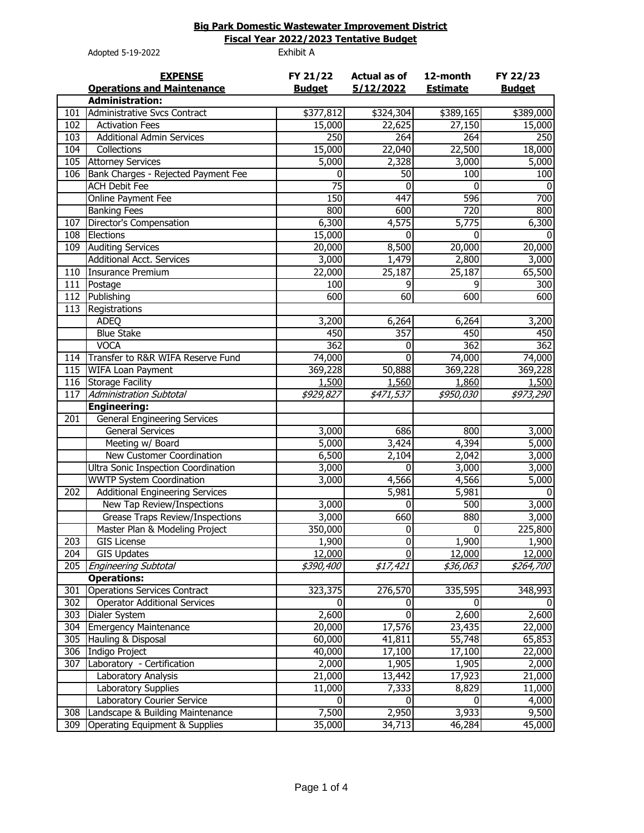## **Big Park Domestic Wastewater Improvement District**

Adopted 5-19-2022 Exhibit A **Fiscal Year 2022/2023 Tentative Budget**

|     | Adopted J IJ 2022                                   |                           |                                  |                             |                           |
|-----|-----------------------------------------------------|---------------------------|----------------------------------|-----------------------------|---------------------------|
|     | <b>EXPENSE</b><br><b>Operations and Maintenance</b> | FY 21/22<br><b>Budget</b> | <b>Actual as of</b><br>5/12/2022 | 12-month<br><b>Estimate</b> | FY 22/23<br><b>Budget</b> |
|     | <b>Administration:</b>                              |                           |                                  |                             |                           |
| 101 | Administrative Svcs Contract                        | \$377,812                 | \$324,304                        | \$389,165                   | \$389,000                 |
| 102 | <b>Activation Fees</b>                              | 15,000                    | 22,625                           | 27,150                      | 15,000                    |
| 103 | <b>Additional Admin Services</b>                    | 250                       | 264                              | 264                         | 250                       |
| 104 | Collections                                         | 15,000                    | 22,040                           | 22,500                      | 18,000                    |
| 105 | <b>Attorney Services</b>                            | 5,000                     | 2,328                            | 3,000                       | 5,000                     |
| 106 | Bank Charges - Rejected Payment Fee                 | $\mathbf 0$               | 50                               | 100                         | 100                       |
|     | <b>ACH Debit Fee</b>                                | $\overline{75}$           | 0                                | 0                           | $\Omega$                  |
|     | Online Payment Fee                                  | 150                       | 447                              | 596                         | 700                       |
|     | <b>Banking Fees</b>                                 | 800                       | 600                              | 720                         | 800                       |
| 107 | Director's Compensation                             | 6,300                     | 4,575                            | 5,775                       | 6,300                     |
| 108 | Elections                                           | 15,000                    | 0                                | $\mathbf{0}$                | <sup>0</sup>              |
| 109 | <b>Auditing Services</b>                            | 20,000                    | 8,500                            | 20,000                      | 20,000                    |
|     | <b>Additional Acct. Services</b>                    | 3,000                     | 1,479                            | 2,800                       | 3,000                     |
| 110 | <b>Insurance Premium</b>                            | 22,000                    | 25,187                           | 25,187                      | 65,500                    |
| 111 | Postage                                             | 100                       | 9                                | 9                           | 300                       |
| 112 | Publishing                                          | 600                       | 60                               | 600                         | 600                       |
| 113 | Registrations                                       |                           |                                  |                             |                           |
|     | <b>ADEO</b>                                         | 3,200                     | 6,264                            | 6,264                       | 3,200                     |
|     | <b>Blue Stake</b>                                   | 450                       | 357                              | 450                         | 450                       |
|     | <b>VOCA</b>                                         | 362                       | 0                                | 362                         | 362                       |
| 114 | Transfer to R&R WIFA Reserve Fund                   | 74,000                    | $\overline{0}$                   | 74,000                      | 74,000                    |
|     | 115 WIFA Loan Payment                               | 369,228                   | 50,888                           | 369,228                     | 369,228                   |
| 116 | <b>Storage Facility</b>                             | 1,500                     | 1,560                            | 1,860                       | 1,500                     |
| 117 | <b>Administration Subtotal</b>                      | \$929,827                 | \$471,537                        | \$950,030                   | \$973,290                 |
|     | <b>Engineering:</b>                                 |                           |                                  |                             |                           |
| 201 | <b>General Engineering Services</b>                 |                           |                                  |                             |                           |
|     | <b>General Services</b>                             | 3,000                     | 686                              | 800                         | 3,000                     |
|     | Meeting w/ Board                                    | 5,000                     | 3,424                            | 4,394                       | 5,000                     |
|     | New Customer Coordination                           | 6,500                     | 2,104                            | 2,042                       | 3,000                     |
|     | Ultra Sonic Inspection Coordination                 | 3,000                     | 0                                | 3,000                       | 3,000                     |
|     | <b>WWTP System Coordination</b>                     | 3,000                     | 4,566                            | 4,566                       | 5,000                     |
| 202 | <b>Additional Engineering Services</b>              |                           | 5,981                            | 5,981                       | $\Omega$                  |
|     | New Tap Review/Inspections                          | 3,000                     | 0                                | 500                         | 3,000                     |
|     | <b>Grease Traps Review/Inspections</b>              | 3,000                     | 660                              | 880                         | 3,000                     |
|     | Master Plan & Modeling Project                      | 350,000                   | $\sigma$                         | $\vert 0 \vert$             | 225,800                   |
| 203 | <b>GIS License</b>                                  | 1,900                     | $\overline{0}$                   | 1,900                       | 1,900                     |
| 204 | <b>GIS Updates</b>                                  | 12,000                    | $\overline{0}$                   | 12,000                      | 12,000                    |
| 205 | <b>Engineering Subtotal</b>                         | <i><b>\$390,400</b></i>   | \$17,421                         | \$36,063                    | \$264,700                 |
|     | <b>Operations:</b>                                  |                           |                                  |                             |                           |
| 301 | <b>Operations Services Contract</b>                 | 323,375                   | 276,570                          | 335,595                     | 348,993                   |
| 302 | <b>Operator Additional Services</b>                 | 0                         | 0                                | 0                           |                           |
| 303 | Dialer System                                       | 2,600                     | $\Omega$                         | 2,600                       | 2,600                     |
| 304 | <b>Emergency Maintenance</b>                        | 20,000                    | 17,576                           | 23,435                      | 22,000                    |
| 305 | Hauling & Disposal                                  | 60,000                    | 41,811                           | 55,748                      | 65,853                    |
| 306 | <b>Indigo Project</b>                               | 40,000                    | 17,100                           | 17,100                      | 22,000                    |
| 307 | Laboratory - Certification                          | 2,000                     | 1,905                            | 1,905                       | 2,000                     |
|     | Laboratory Analysis                                 | 21,000                    | 13,442                           | 17,923                      | 21,000                    |
|     | Laboratory Supplies                                 | 11,000                    | 7,333                            | 8,829                       | 11,000                    |
|     | Laboratory Courier Service                          | 0                         | 0                                | 0                           | 4,000                     |
| 308 | Landscape & Building Maintenance                    | 7,500                     | 2,950                            | 3,933                       | 9,500                     |
| 309 | Operating Equipment & Supplies                      | 35,000                    | 34,713                           | 46,284                      | 45,000                    |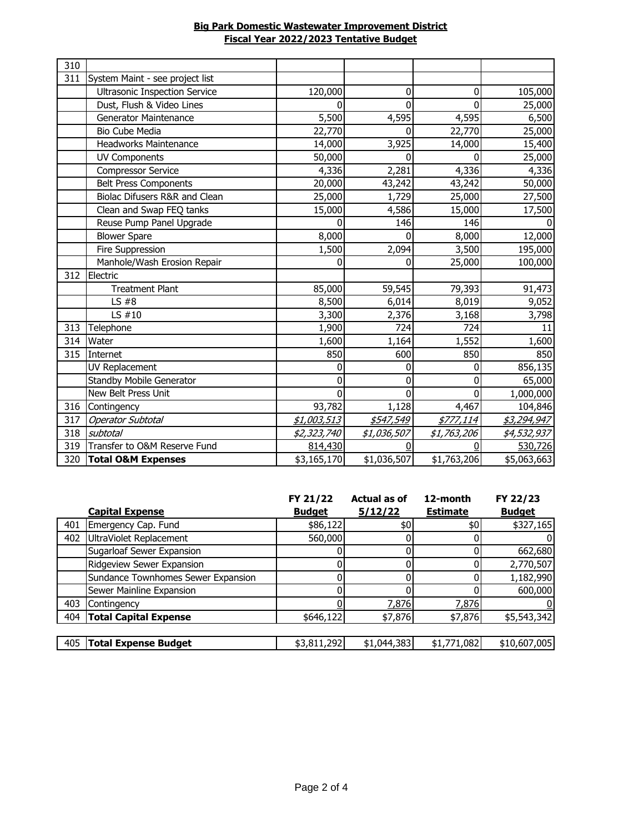| <b>Big Park Domestic Wastewater Improvement District</b> |
|----------------------------------------------------------|
| Fiscal Year 2022/2023 Tentative Budget                   |

| 310 |                                      |             |             |             |             |
|-----|--------------------------------------|-------------|-------------|-------------|-------------|
| 311 | System Maint - see project list      |             |             |             |             |
|     | <b>Ultrasonic Inspection Service</b> | 120,000     | 0           | 0           | 105,000     |
|     | Dust, Flush & Video Lines            | 0           | $\Omega$    | 0           | 25,000      |
|     | Generator Maintenance                | 5,500       | 4,595       | 4,595       | 6,500       |
|     | <b>Bio Cube Media</b>                | 22,770      | O           | 22,770      | 25,000      |
|     | <b>Headworks Maintenance</b>         | 14,000      | 3,925       | 14,000      | 15,400      |
|     | <b>UV Components</b>                 | 50,000      | O           |             | 25,000      |
|     | <b>Compressor Service</b>            | 4,336       | 2,281       | 4,336       | 4,336       |
|     | <b>Belt Press Components</b>         | 20,000      | 43,242      | 43,242      | 50,000      |
|     | Biolac Difusers R&R and Clean        | 25,000      | 1,729       | 25,000      | 27,500      |
|     | Clean and Swap FEQ tanks             | 15,000      | 4,586       | 15,000      | 17,500      |
|     | Reuse Pump Panel Upgrade             | 0           | 146         | 146         |             |
|     | <b>Blower Spare</b>                  | 8,000       | 0           | 8,000       | 12,000      |
|     | <b>Fire Suppression</b>              | 1,500       | 2,094       | 3,500       | 195,000     |
|     | Manhole/Wash Erosion Repair          | 0           | 0           | 25,000      | 100,000     |
| 312 | Electric                             |             |             |             |             |
|     | <b>Treatment Plant</b>               | 85,000      | 59,545      | 79,393      | 91,473      |
|     | $LS$ #8                              | 8,500       | 6,014       | 8,019       | 9,052       |
|     | LS $#10$                             | 3,300       | 2,376       | 3,168       | 3,798       |
| 313 | Telephone                            | 1,900       | 724         | 724         | 11          |
| 314 | Water                                | 1,600       | 1,164       | 1,552       | 1,600       |
| 315 | Internet                             | 850         | 600         | 850         | 850         |
|     | UV Replacement                       | 0           | 0           | 0           | 856,135     |
|     | <b>Standby Mobile Generator</b>      | 0           | 0           | 0           | 65,000      |
|     | New Belt Press Unit                  | 0           | 0           | ŋ           | 1,000,000   |
| 316 | Contingency                          | 93,782      | 1,128       | 4,467       | 104,846     |
| 317 | <b>Operator Subtotal</b>             | \$1,003,513 | \$547,549   | \$777,114   | \$3,294,947 |
| 318 | subtotal                             | \$2,323,740 | \$1,036,507 | \$1,763,206 | \$4,532,937 |
| 319 | Transfer to O&M Reserve Fund         | 814,430     |             |             | 530,726     |
| 320 | <b>Total O&amp;M Expenses</b>        | \$3,165,170 | \$1,036,507 | \$1,763,206 | \$5,063,663 |

|     |                                    | FY 21/22      | <b>Actual as of</b> | 12-month        | FY 22/23      |
|-----|------------------------------------|---------------|---------------------|-----------------|---------------|
|     | <b>Capital Expense</b>             | <b>Budget</b> | 5/12/22             | <b>Estimate</b> | <b>Budget</b> |
| 401 | Emergency Cap. Fund                | \$86,122      | \$0                 | \$0             | \$327,165     |
| 402 | UltraViolet Replacement            | 560,000       |                     |                 |               |
|     | Sugarloaf Sewer Expansion          |               |                     |                 | 662,680       |
|     | Ridgeview Sewer Expansion          | 0             |                     |                 | 2,770,507     |
|     | Sundance Townhomes Sewer Expansion |               |                     |                 | 1,182,990     |
|     | Sewer Mainline Expansion           |               |                     |                 | 600,000       |
| 403 | Contingency                        |               | 7,876               | 7,876           |               |
| 404 | <b>Total Capital Expense</b>       | \$646,122     | \$7,876             | \$7,876         | \$5,543,342   |
|     |                                    |               |                     |                 |               |
| 405 | <b>Total Expense Budget</b>        | \$3,811,292   | \$1,044,383         | \$1,771,082     | \$10,607,005  |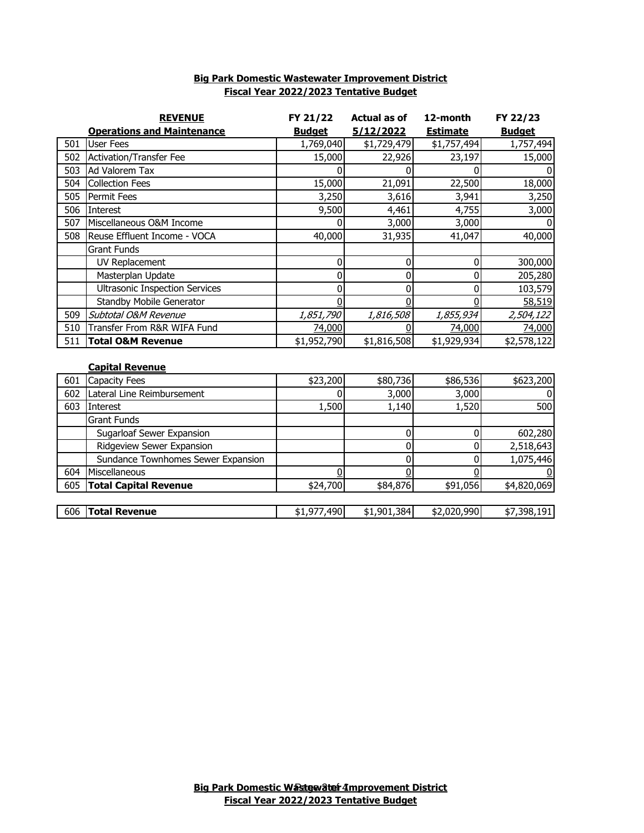|     | <b>REVENUE</b>                        | FY 21/22      | <b>Actual as of</b> | 12-month        | FY 22/23       |
|-----|---------------------------------------|---------------|---------------------|-----------------|----------------|
|     | <b>Operations and Maintenance</b>     | <b>Budget</b> | 5/12/2022           | <b>Estimate</b> | <b>Budget</b>  |
| 501 | <b>User Fees</b>                      | 1,769,040     | \$1,729,479         | \$1,757,494     | 1,757,494      |
| 502 | <b>Activation/Transfer Fee</b>        | 15,000        | 22,926              | 23,197          | 15,000         |
| 503 | Ad Valorem Tax                        | 0             |                     |                 | $\Omega$       |
| 504 | <b>Collection Fees</b>                | 15,000        | 21,091              | 22,500          | 18,000         |
| 505 | Permit Fees                           | 3,250         | 3,616               | 3,941           | 3,250          |
| 506 | Interest                              | 9,500         | 4,461               | 4,755           | 3,000          |
| 507 | Miscellaneous O&M Income              | 0             | 3,000               | 3,000           | $\Omega$       |
| 508 | Reuse Effluent Income - VOCA          | 40,000        | 31,935              | 41,047          | 40,000         |
|     | <b>Grant Funds</b>                    |               |                     |                 |                |
|     | UV Replacement                        | 0             | 0                   | 0               | 300,000        |
|     | Masterplan Update                     | 0             | 0                   | ŋ               | 205,280        |
|     | <b>Ultrasonic Inspection Services</b> | 0             | 0                   | 0               | 103,579        |
|     | Standby Mobile Generator              | 0             | <sup>0</sup>        |                 | 58,519         |
| 509 | Subtotal O&M Revenue                  | 1,851,790     | 1,816,508           | 1,855,934       | 2,504,122      |
| 510 | Transfer From R&R WIFA Fund           | 74,000        |                     | 74,000          | 74,000         |
| 511 | <b>Total O&amp;M Revenue</b>          | \$1,952,790   | \$1,816,508         | \$1,929,934     | \$2,578,122    |
|     |                                       |               |                     |                 |                |
|     | <b>Capital Revenue</b>                |               |                     |                 |                |
| 601 | Capacity Fees                         | \$23,200      | \$80,736            | \$86,536        | \$623,200      |
| 602 | Lateral Line Reimbursement            | 0             | 3,000               | 3,000           | $\overline{0}$ |
| 603 | Interest                              | 1,500         | 1,140               | 1,520           | 500            |
|     | <b>Grant Funds</b>                    |               |                     |                 |                |
|     | Sugarloaf Sewer Expansion             |               | 0                   | 0               | 602,280        |
|     | Ridgeview Sewer Expansion             |               | 0                   | 0               | 2,518,643      |
|     | Sundance Townhomes Sewer Expansion    |               | 0                   | N               | 1,075,446      |
| 604 | Miscellaneous                         | 0             | 0                   |                 |                |
| 605 | <b>Total Capital Revenue</b>          | \$24,700      | \$84,876            | \$91,056        | \$4,820,069    |

606 **Total Revenue** \$1,977,490 \$1,901,384 \$2,020,990 \$7,398,191

## **Big Park Domestic Wastewater Improvement District Fiscal Year 2022/2023 Tentative Budget**